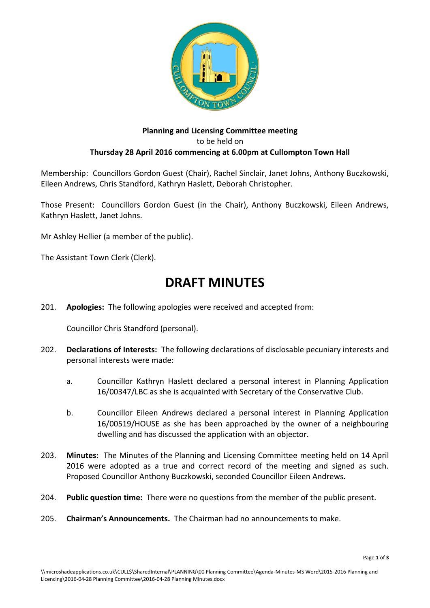

# **Planning and Licensing Committee meeting** to be held on **Thursday 28 April 2016 commencing at 6.00pm at Cullompton Town Hall**

Membership: Councillors Gordon Guest (Chair), Rachel Sinclair, Janet Johns, Anthony Buczkowski, Eileen Andrews, Chris Standford, Kathryn Haslett, Deborah Christopher.

Those Present: Councillors Gordon Guest (in the Chair), Anthony Buczkowski, Eileen Andrews, Kathryn Haslett, Janet Johns.

Mr Ashley Hellier (a member of the public).

The Assistant Town Clerk (Clerk).

# **DRAFT MINUTES**

201. **Apologies:** The following apologies were received and accepted from:

Councillor Chris Standford (personal).

- 202. **Declarations of Interests:** The following declarations of disclosable pecuniary interests and personal interests were made:
	- a. Councillor Kathryn Haslett declared a personal interest in Planning Application 16/00347/LBC as she is acquainted with Secretary of the Conservative Club.
	- b. Councillor Eileen Andrews declared a personal interest in Planning Application 16/00519/HOUSE as she has been approached by the owner of a neighbouring dwelling and has discussed the application with an objector.
- 203. **Minutes:** The Minutes of the Planning and Licensing Committee meeting held on 14 April 2016 were adopted as a true and correct record of the meeting and signed as such. Proposed Councillor Anthony Buczkowski, seconded Councillor Eileen Andrews.
- 204. **Public question time:** There were no questions from the member of the public present.
- 205. **Chairman's Announcements.** The Chairman had no announcements to make.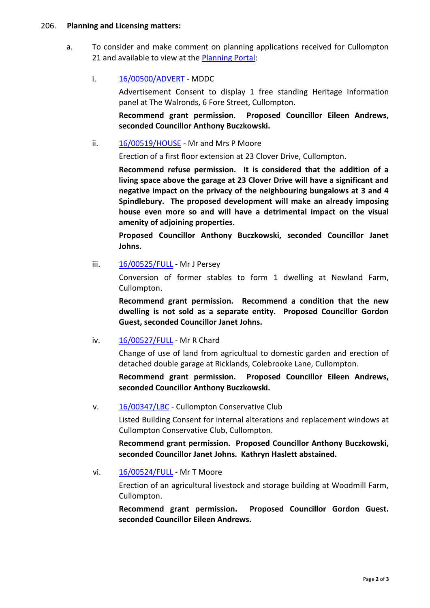#### 206. **Planning and Licensing matters:**

a. To consider and make comment on planning applications received for Cullompton 21 and available to view at the **Planning Portal:** 

### i. [16/00500/ADVERT](http://docs.middevon.gov.uk/pap/index.asp?caseref=16/00500/ADVERT) - MDDC

Advertisement Consent to display 1 free standing Heritage Information panel at The Walronds, 6 Fore Street, Cullompton.

**Recommend grant permission. Proposed Councillor Eileen Andrews, seconded Councillor Anthony Buczkowski.**

### ii. [16/00519/HOUSE](http://docs.middevon.gov.uk/pap/index.asp?caseref=16/00519/HOUSE) - Mr and Mrs P Moore

Erection of a first floor extension at 23 Clover Drive, Cullompton.

**Recommend refuse permission. It is considered that the addition of a living space above the garage at 23 Clover Drive will have a significant and negative impact on the privacy of the neighbouring bungalows at 3 and 4 Spindlebury. The proposed development will make an already imposing house even more so and will have a detrimental impact on the visual amenity of adjoining properties.**

**Proposed Councillor Anthony Buczkowski, seconded Councillor Janet Johns.**

iii. [16/00525/FULL](http://docs.middevon.gov.uk/pap/index.asp?caseref=16/00525/FULL) - Mr J Persey

Conversion of former stables to form 1 dwelling at Newland Farm, Cullompton.

**Recommend grant permission. Recommend a condition that the new dwelling is not sold as a separate entity. Proposed Councillor Gordon Guest, seconded Councillor Janet Johns.**

#### iv. [16/00527/FULL](http://docs.middevon.gov.uk/pap/index.asp?caseref=16/00527/FULL) - Mr R Chard

Change of use of land from agricultual to domestic garden and erection of detached double garage at Ricklands, Colebrooke Lane, Cullompton.

**Recommend grant permission. Proposed Councillor Eileen Andrews, seconded Councillor Anthony Buczkowski.**

v. [16/00347/LBC](http://docs.middevon.gov.uk/pap/index.asp?caseref=16/00347/LBC) - Cullompton Conservative Club

Listed Building Consent for internal alterations and replacement windows at Cullompton Conservative Club, Cullompton.

**Recommend grant permission. Proposed Councillor Anthony Buczkowski, seconded Councillor Janet Johns. Kathryn Haslett abstained.**

#### vi. [16/00524/FULL](http://docs.middevon.gov.uk/pap/index.asp?caseref=16/00524/FULL) - Mr T Moore

Erection of an agricultural livestock and storage building at Woodmill Farm, Cullompton.

**Recommend grant permission. Proposed Councillor Gordon Guest. seconded Councillor Eileen Andrews.**